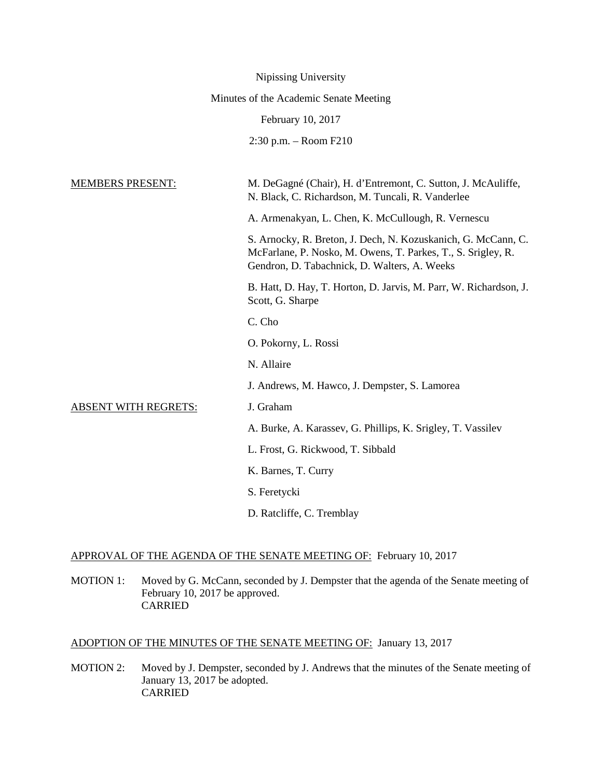|                                        | Nipissing University                                                                                                                                                          |
|----------------------------------------|-------------------------------------------------------------------------------------------------------------------------------------------------------------------------------|
| Minutes of the Academic Senate Meeting |                                                                                                                                                                               |
|                                        | February 10, 2017                                                                                                                                                             |
|                                        | $2:30$ p.m. $-$ Room F210                                                                                                                                                     |
|                                        |                                                                                                                                                                               |
| <b>MEMBERS PRESENT:</b>                | M. DeGagné (Chair), H. d'Entremont, C. Sutton, J. McAuliffe,<br>N. Black, C. Richardson, M. Tuncali, R. Vanderlee                                                             |
|                                        | A. Armenakyan, L. Chen, K. McCullough, R. Vernescu                                                                                                                            |
|                                        | S. Arnocky, R. Breton, J. Dech, N. Kozuskanich, G. McCann, C.<br>McFarlane, P. Nosko, M. Owens, T. Parkes, T., S. Srigley, R.<br>Gendron, D. Tabachnick, D. Walters, A. Weeks |
|                                        | B. Hatt, D. Hay, T. Horton, D. Jarvis, M. Parr, W. Richardson, J.<br>Scott, G. Sharpe                                                                                         |
|                                        | C. Cho                                                                                                                                                                        |
|                                        | O. Pokorny, L. Rossi                                                                                                                                                          |
|                                        | N. Allaire                                                                                                                                                                    |
|                                        | J. Andrews, M. Hawco, J. Dempster, S. Lamorea                                                                                                                                 |
| <b>ABSENT WITH REGRETS:</b>            | J. Graham                                                                                                                                                                     |
|                                        | A. Burke, A. Karassev, G. Phillips, K. Srigley, T. Vassilev                                                                                                                   |
|                                        | L. Frost, G. Rickwood, T. Sibbald                                                                                                                                             |
|                                        | K. Barnes, T. Curry                                                                                                                                                           |
|                                        | S. Feretycki                                                                                                                                                                  |
|                                        | D. Ratcliffe, C. Tremblay                                                                                                                                                     |

# APPROVAL OF THE AGENDA OF THE SENATE MEETING OF: February 10, 2017

MOTION 1: Moved by G. McCann, seconded by J. Dempster that the agenda of the Senate meeting of February 10, 2017 be approved. CARRIED

# ADOPTION OF THE MINUTES OF THE SENATE MEETING OF: January 13, 2017

MOTION 2: Moved by J. Dempster, seconded by J. Andrews that the minutes of the Senate meeting of January 13, 2017 be adopted. CARRIED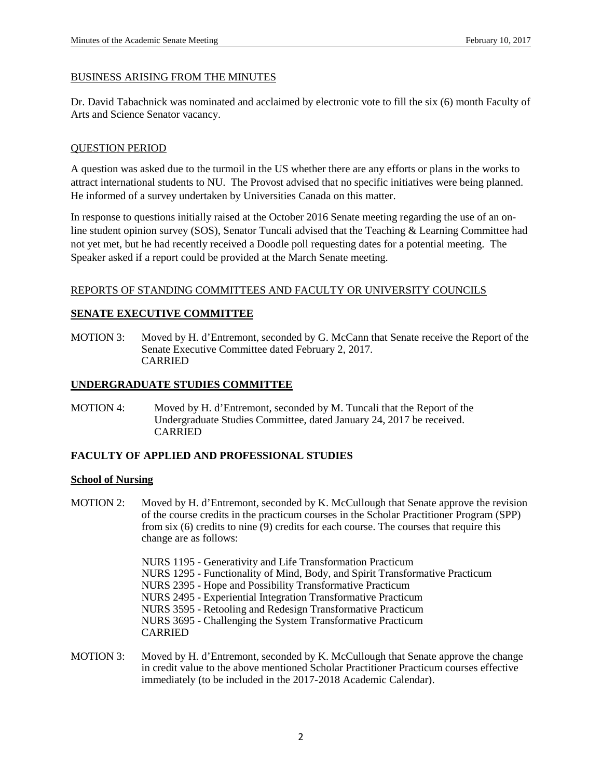#### BUSINESS ARISING FROM THE MINUTES

Dr. David Tabachnick was nominated and acclaimed by electronic vote to fill the six (6) month Faculty of Arts and Science Senator vacancy.

### QUESTION PERIOD

A question was asked due to the turmoil in the US whether there are any efforts or plans in the works to attract international students to NU. The Provost advised that no specific initiatives were being planned. He informed of a survey undertaken by Universities Canada on this matter.

In response to questions initially raised at the October 2016 Senate meeting regarding the use of an online student opinion survey (SOS), Senator Tuncali advised that the Teaching & Learning Committee had not yet met, but he had recently received a Doodle poll requesting dates for a potential meeting. The Speaker asked if a report could be provided at the March Senate meeting.

### REPORTS OF STANDING COMMITTEES AND FACULTY OR UNIVERSITY COUNCILS

### **SENATE EXECUTIVE COMMITTEE**

MOTION 3: Moved by H. d'Entremont, seconded by G. McCann that Senate receive the Report of the Senate Executive Committee dated February 2, 2017. CARRIED

# **UNDERGRADUATE STUDIES COMMITTEE**

MOTION 4: Moved by H. d'Entremont, seconded by M. Tuncali that the Report of the Undergraduate Studies Committee, dated January 24, 2017 be received. CARRIED

## **FACULTY OF APPLIED AND PROFESSIONAL STUDIES**

#### **School of Nursing**

- MOTION 2: Moved by H. d'Entremont, seconded by K. McCullough that Senate approve the revision of the course credits in the practicum courses in the Scholar Practitioner Program (SPP) from six (6) credits to nine (9) credits for each course. The courses that require this change are as follows:
	- NURS 1195 Generativity and Life Transformation Practicum
	- NURS 1295 Functionality of Mind, Body, and Spirit Transformative Practicum
	- NURS 2395 Hope and Possibility Transformative Practicum
	- NURS 2495 Experiential Integration Transformative Practicum
	- NURS 3595 Retooling and Redesign Transformative Practicum

NURS 3695 - Challenging the System Transformative Practicum CARRIED

MOTION 3: Moved by H. d'Entremont, seconded by K. McCullough that Senate approve the change in credit value to the above mentioned Scholar Practitioner Practicum courses effective immediately (to be included in the 2017-2018 Academic Calendar).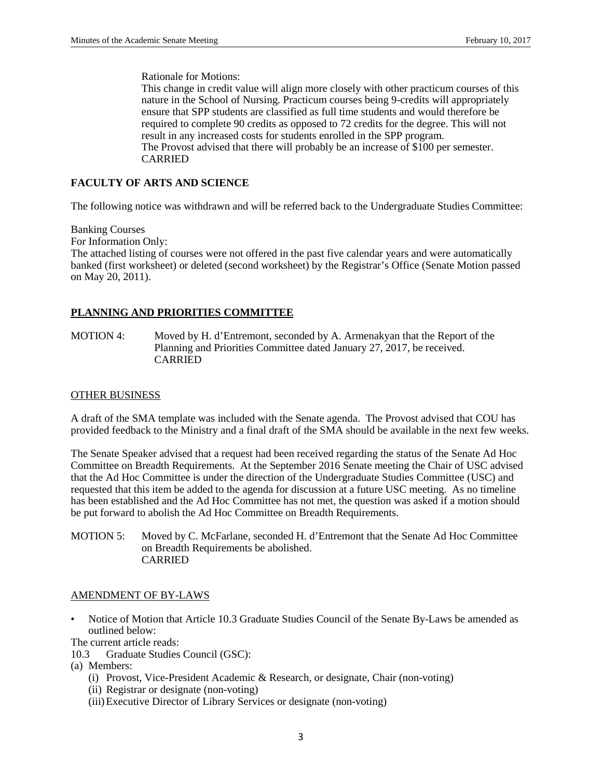Rationale for Motions:

This change in credit value will align more closely with other practicum courses of this nature in the School of Nursing. Practicum courses being 9-credits will appropriately ensure that SPP students are classified as full time students and would therefore be required to complete 90 credits as opposed to 72 credits for the degree. This will not result in any increased costs for students enrolled in the SPP program. The Provost advised that there will probably be an increase of \$100 per semester. CARRIED

## **FACULTY OF ARTS AND SCIENCE**

The following notice was withdrawn and will be referred back to the Undergraduate Studies Committee:

Banking Courses For Information Only: The attached listing of courses were not offered in the past five calendar years and were automatically banked (first worksheet) or deleted (second worksheet) by the Registrar's Office (Senate Motion passed on May 20, 2011).

# **PLANNING AND PRIORITIES COMMITTEE**

MOTION 4: Moved by H. d'Entremont, seconded by A. Armenakyan that the Report of the Planning and Priorities Committee dated January 27, 2017, be received. CARRIED

### OTHER BUSINESS

A draft of the SMA template was included with the Senate agenda. The Provost advised that COU has provided feedback to the Ministry and a final draft of the SMA should be available in the next few weeks.

The Senate Speaker advised that a request had been received regarding the status of the Senate Ad Hoc Committee on Breadth Requirements. At the September 2016 Senate meeting the Chair of USC advised that the Ad Hoc Committee is under the direction of the Undergraduate Studies Committee (USC) and requested that this item be added to the agenda for discussion at a future USC meeting. As no timeline has been established and the Ad Hoc Committee has not met, the question was asked if a motion should be put forward to abolish the Ad Hoc Committee on Breadth Requirements.

MOTION 5: Moved by C. McFarlane, seconded H. d'Entremont that the Senate Ad Hoc Committee on Breadth Requirements be abolished. CARRIED

## AMENDMENT OF BY-LAWS

• Notice of Motion that Article 10.3 Graduate Studies Council of the Senate By-Laws be amended as outlined below:

The current article reads:

- 10.3 Graduate Studies Council (GSC):
- (a) Members:
	- (i) Provost, Vice-President Academic & Research, or designate, Chair (non-voting)
	- (ii) Registrar or designate (non-voting)
	- (iii)Executive Director of Library Services or designate (non-voting)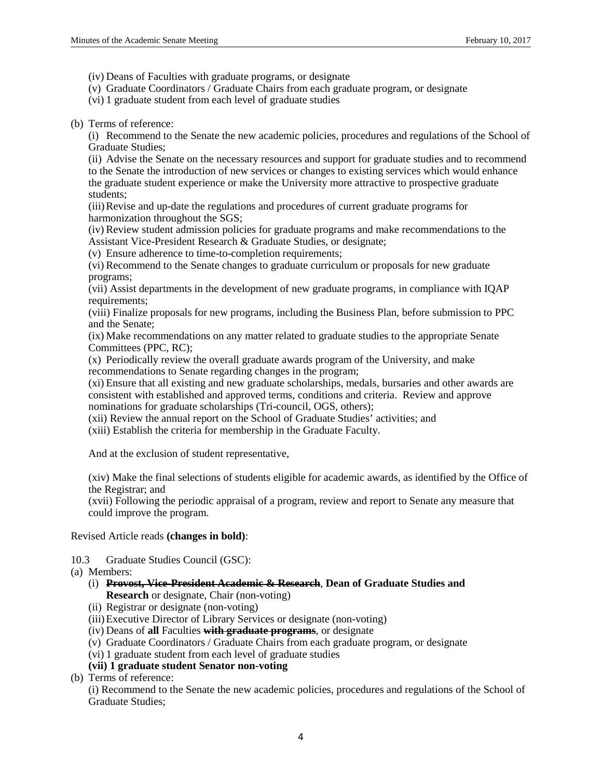(iv) Deans of Faculties with graduate programs, or designate

- (v) Graduate Coordinators / Graduate Chairs from each graduate program, or designate
- (vi) 1 graduate student from each level of graduate studies

(b) Terms of reference:

(i) Recommend to the Senate the new academic policies, procedures and regulations of the School of Graduate Studies;

(ii) Advise the Senate on the necessary resources and support for graduate studies and to recommend to the Senate the introduction of new services or changes to existing services which would enhance the graduate student experience or make the University more attractive to prospective graduate students;

(iii)Revise and up-date the regulations and procedures of current graduate programs for harmonization throughout the SGS;

(iv) Review student admission policies for graduate programs and make recommendations to the Assistant Vice-President Research & Graduate Studies, or designate;

(v) Ensure adherence to time-to-completion requirements;

(vi) Recommend to the Senate changes to graduate curriculum or proposals for new graduate programs;

(vii) Assist departments in the development of new graduate programs, in compliance with IQAP requirements;

(viii) Finalize proposals for new programs, including the Business Plan, before submission to PPC and the Senate;

(ix) Make recommendations on any matter related to graduate studies to the appropriate Senate Committees (PPC, RC);

(x) Periodically review the overall graduate awards program of the University, and make recommendations to Senate regarding changes in the program;

(xi) Ensure that all existing and new graduate scholarships, medals, bursaries and other awards are consistent with established and approved terms, conditions and criteria. Review and approve nominations for graduate scholarships (Tri-council, OGS, others);

(xii) Review the annual report on the School of Graduate Studies' activities; and

(xiii) Establish the criteria for membership in the Graduate Faculty.

And at the exclusion of student representative,

(xiv) Make the final selections of students eligible for academic awards, as identified by the Office of the Registrar; and

(xvii) Following the periodic appraisal of a program, review and report to Senate any measure that could improve the program.

Revised Article reads **(changes in bold)**:

10.3 Graduate Studies Council (GSC):

(a) Members:

- (i) **Provost, Vice-President Academic & Research**, **Dean of Graduate Studies and Research** or designate, Chair (non-voting)
- (ii) Registrar or designate (non-voting)
- (iii)Executive Director of Library Services or designate (non-voting)
- (iv) Deans of **all** Faculties **with graduate programs**, or designate
- (v) Graduate Coordinators / Graduate Chairs from each graduate program, or designate
- (vi) 1 graduate student from each level of graduate studies

# **(vii) 1 graduate student Senator non-voting**

(b) Terms of reference:

(i) Recommend to the Senate the new academic policies, procedures and regulations of the School of Graduate Studies;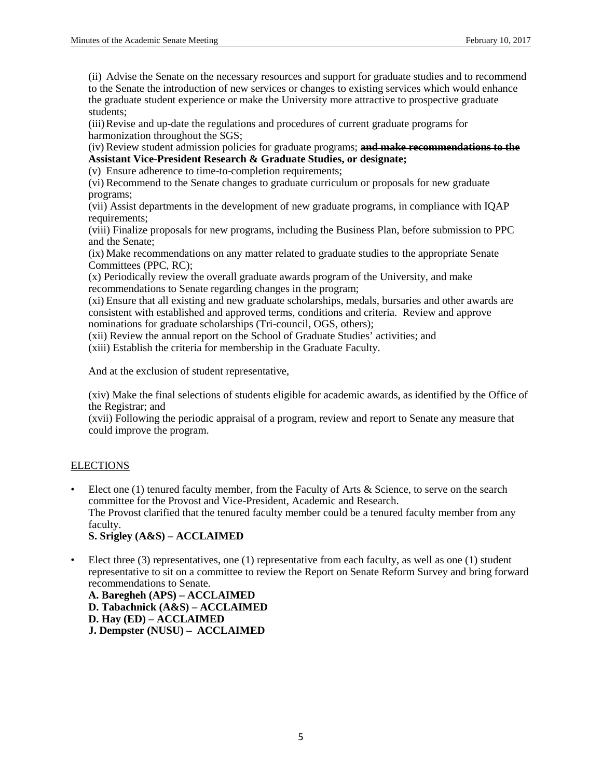(ii) Advise the Senate on the necessary resources and support for graduate studies and to recommend to the Senate the introduction of new services or changes to existing services which would enhance the graduate student experience or make the University more attractive to prospective graduate students;

(iii)Revise and up-date the regulations and procedures of current graduate programs for harmonization throughout the SGS;

(iv) Review student admission policies for graduate programs; **and make recommendations to the Assistant Vice-President Research & Graduate Studies, or designate;**

(v) Ensure adherence to time-to-completion requirements;

(vi) Recommend to the Senate changes to graduate curriculum or proposals for new graduate programs;

(vii) Assist departments in the development of new graduate programs, in compliance with IQAP requirements:

(viii) Finalize proposals for new programs, including the Business Plan, before submission to PPC and the Senate;

(ix) Make recommendations on any matter related to graduate studies to the appropriate Senate Committees (PPC, RC);

(x) Periodically review the overall graduate awards program of the University, and make recommendations to Senate regarding changes in the program;

(xi) Ensure that all existing and new graduate scholarships, medals, bursaries and other awards are consistent with established and approved terms, conditions and criteria. Review and approve nominations for graduate scholarships (Tri-council, OGS, others);

(xii) Review the annual report on the School of Graduate Studies' activities; and

(xiii) Establish the criteria for membership in the Graduate Faculty.

And at the exclusion of student representative,

(xiv) Make the final selections of students eligible for academic awards, as identified by the Office of the Registrar; and

(xvii) Following the periodic appraisal of a program, review and report to Senate any measure that could improve the program.

## **ELECTIONS**

- Elect one (1) tenured faculty member, from the Faculty of Arts & Science, to serve on the search committee for the Provost and Vice-President, Academic and Research. The Provost clarified that the tenured faculty member could be a tenured faculty member from any faculty. **S. Srigley (A&S) – ACCLAIMED**
- Elect three (3) representatives, one (1) representative from each faculty, as well as one (1) student representative to sit on a committee to review the Report on Senate Reform Survey and bring forward recommendations to Senate.

**A. Baregheh (APS) – ACCLAIMED D. Tabachnick (A&S) – ACCLAIMED D. Hay (ED) – ACCLAIMED J. Dempster (NUSU) – ACCLAIMED**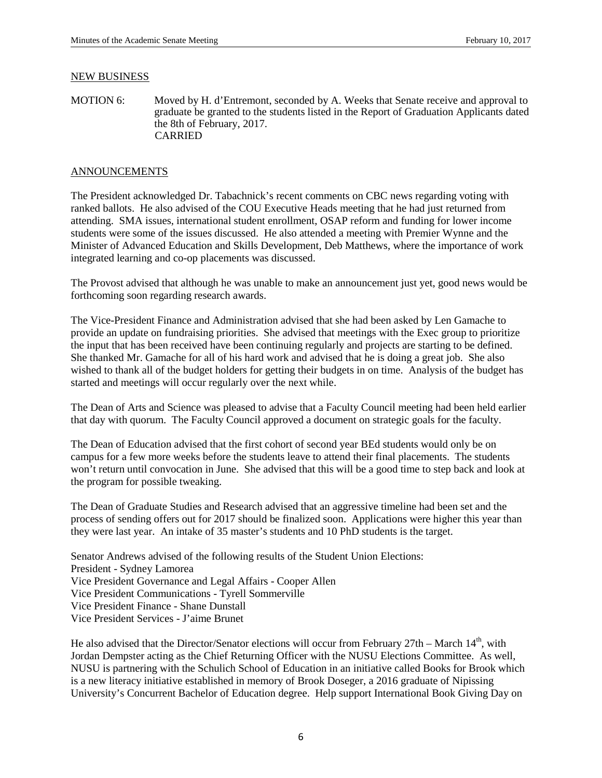#### NEW BUSINESS

MOTION 6: Moved by H. d'Entremont, seconded by A. Weeks that Senate receive and approval to graduate be granted to the students listed in the Report of Graduation Applicants dated the 8th of February, 2017. CARRIED

### ANNOUNCEMENTS

The President acknowledged Dr. Tabachnick's recent comments on CBC news regarding voting with ranked ballots. He also advised of the COU Executive Heads meeting that he had just returned from attending. SMA issues, international student enrollment, OSAP reform and funding for lower income students were some of the issues discussed. He also attended a meeting with Premier Wynne and the Minister of Advanced Education and Skills Development, Deb Matthews, where the importance of work integrated learning and co-op placements was discussed.

The Provost advised that although he was unable to make an announcement just yet, good news would be forthcoming soon regarding research awards.

The Vice-President Finance and Administration advised that she had been asked by Len Gamache to provide an update on fundraising priorities. She advised that meetings with the Exec group to prioritize the input that has been received have been continuing regularly and projects are starting to be defined. She thanked Mr. Gamache for all of his hard work and advised that he is doing a great job. She also wished to thank all of the budget holders for getting their budgets in on time. Analysis of the budget has started and meetings will occur regularly over the next while.

The Dean of Arts and Science was pleased to advise that a Faculty Council meeting had been held earlier that day with quorum. The Faculty Council approved a document on strategic goals for the faculty.

The Dean of Education advised that the first cohort of second year BEd students would only be on campus for a few more weeks before the students leave to attend their final placements. The students won't return until convocation in June. She advised that this will be a good time to step back and look at the program for possible tweaking.

The Dean of Graduate Studies and Research advised that an aggressive timeline had been set and the process of sending offers out for 2017 should be finalized soon. Applications were higher this year than they were last year. An intake of 35 master's students and 10 PhD students is the target.

Senator Andrews advised of the following results of the Student Union Elections: President - Sydney Lamorea Vice President Governance and Legal Affairs - Cooper Allen Vice President Communications - Tyrell Sommerville Vice President Finance - Shane Dunstall Vice President Services - J'aime Brunet

He also advised that the Director/Senator elections will occur from February  $27th$  – March  $14<sup>th</sup>$ , with Jordan Dempster acting as the Chief Returning Officer with the NUSU Elections Committee. As well, NUSU is partnering with the Schulich School of Education in an initiative called Books for Brook which is a new literacy initiative established in memory of Brook Doseger, a 2016 graduate of Nipissing University's Concurrent Bachelor of Education degree. Help support International Book Giving Day on